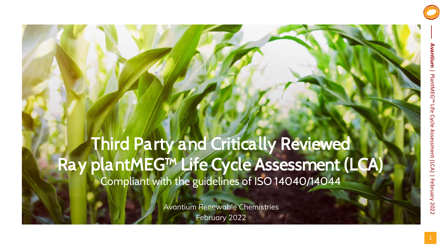*Third Party and Critically Reviewed Ray plantMEG™ Life Cycle Assessment (LCA) Compliant with the guidelines of ISO 14040/14044*

Avantium Renewable Chemistries

February 2022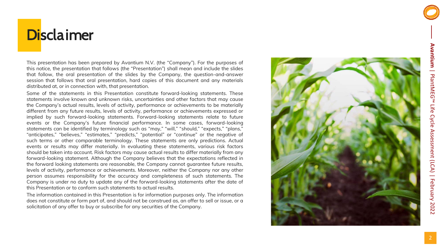#### *Disclaimer*

This presentation has been prepared by Avantium N . V . (the "Company") . For the purposes of this notice, the presentation that follows (the "Presentation") shall mean and include the slides that follow, the oral presentation of the slides by the Company, the question -and -answer session that follows that oral presentation, hard copies of this document and any materials distributed at, or in connection with, that presentation .

Some of the statements in this Presentation constitute forward -looking statements . These statements involve known and unknown risks, uncertainties and other factors that may cause the Company's actual results, levels of activity, performance or achievements to be materially different from any future results, levels of activity, performance or achievements expressed or implied by such forward -looking statements . Forward -looking statements relate to future events or the Company's future financial performance . In some cases, forward -looking statements can be identified by terminology such as "may," "will," "should," "expects," "plans," "anticipates," "believes," "estimates," "predicts," "potential" or "continue" or the negative of such terms or other comparable terminology . These statements are only predictions . Actual events or results may differ materially . In evaluating these statements, various risk factors should be taken into account . Risk factors may cause actual results to differ materially from any forward -looking statement . Although the Company believes that the expectations reflected in the forward looking statements are reasonable, the Company cannot guarantee future results, levels of activity, performance or achievements . Moreover, neither the Company nor any other person assumes responsibility for the accuracy and completeness of such statements . The Company is under no duty to update any of the forward -looking statements after the date of this Presentation or to conform such statements to actual results .

The information contained in this Presentation is for information purposes only . The information does not constitute or form part of, and should not be construed as, an offer to sell or issue, or a solicitation of any offer to buy or subscribe for any securities of the Company .

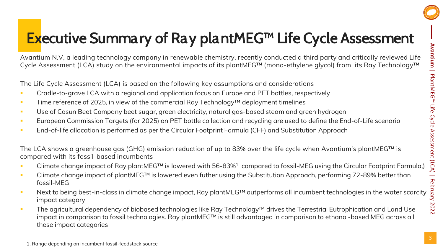### *Executive Summary of Ray plantMEG™ Life Cycle Assessment*

**Avantium N.V, a leading technology company in renewable chemistry, recently conducted a third party and critically reviewed Life Cycle Assessment (LCA) study on the environmental impacts of its plantMEG™ (mono-ethylene glycol) from its Ray Technology™**

**The Life Cycle Assessment (LCA) is based on the following key assumptions and considerations**

- **•** Cradle-to-grave LCA with a regional and application focus on Europe and PET bottles, respectively
- **■** Time reference of 2025, in view of the commercial Ray Technology<sup>™</sup> deployment timelines
- **EXPLORED EXECTS USE OF COSULT BEET COMPANY** beet sugar, green electricity, natural gas-based steam and green hydrogen
- **EUROF EUROPEAN COMMISSION TARGETS (for 2025) on PET bottle collection and recycling are used to define the End-of-Life scenario**
- **End-of-life allocation is performed as per the Circular Footprint Formula (CFF) and Substitution Approach**

**The LCA shows a greenhouse gas (GHG) emission reduction of up to 83% over the life cycle when Avantium's plantMEG™ is compared with its fossil-based incumbents** 

- Climate change impact of Ray plantMEG™ is lowered with 56-83%<sup>1</sup> compared to fossil-MEG using the Circular Footprint Formula,)
- Climate change impact of plantMEG™ is lowered even futher using the Substitution Approach, performing 72-89% better than fossil-MEG
- Next to being best-in-class in climate change impact, Ray plantMEG™ outperforms all incumbent technologies in the water scarcity impact category
- The agricultural dependency of biobased technologies like Ray Technology™ drives the Terrestrial Eutrophication and Land Use impact in comparison to fossil technologies. Ray plantMEG™ is still advantaged in comparison to ethanol-based MEG across all these impact categories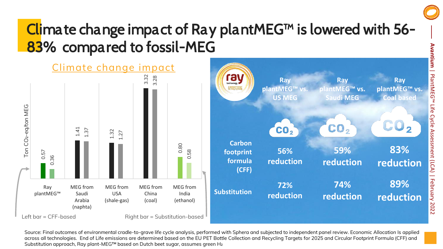### *Climate change impact of Ray plantMEG™ is lowered with 56- 83% compared to fossil-MEG*



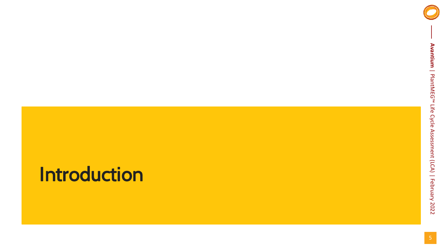

## *Introduction*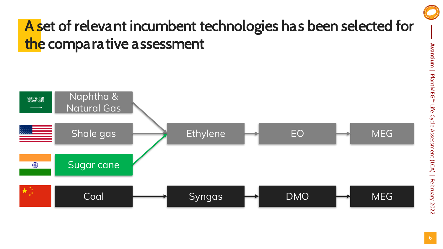#### *A set of relevant incumbent technologies has been selected for the comparative assessment*

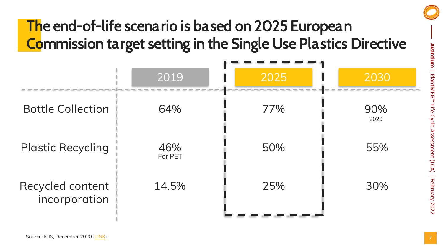#### *The end-of-life scenario is based on 2025 European Commission target setting in the Single Use Plastics Directive* **2025 2030 Bottle Collection 64% 1** 77% **1** 90% **2029 Plastic Recycling 50% 55% Recycled content 25% 30% 2019 64% 46% 14.5%** For PET

**incorporation**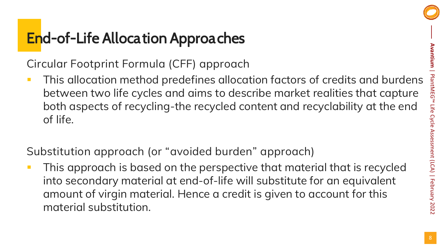### *End-of-Life Allocation Approaches*

**Circular Footprint Formula (CFF) approach**

**This allocation method predefines allocation factors of credits and burdens** between two life cycles and aims to describe market realities that capture both aspects of recycling-the recycled content and recyclability at the end of life.

**Substitution approach (or "avoided burden" approach)**

This approach is based on the perspective that material that is recycled into secondary material at end-of-life will substitute for an equivalent amount of virgin material. Hence a credit is given to account for this material substitution.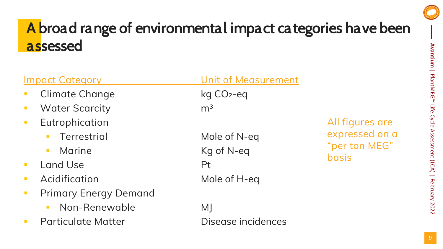

# **Avantium** | PlantMEG ™ Life Cycle Assessment (LCA) | February Assessment (LCA) | February 2022

#### *A broad range of environmental impact categories have been assessed*

| <b>Impact Category</b>                                      | Unit of Measurement    |                        |
|-------------------------------------------------------------|------------------------|------------------------|
| <b>Climate Change</b><br>$\mathbb{R}^n$                     | kg CO <sub>2</sub> -eq |                        |
| <b>Water Scarcity</b><br>$\mathcal{C}$                      | m <sup>3</sup>         |                        |
| Eutrophication<br>$\mathcal{L}_{\mathcal{A}}$               |                        | All figures are        |
| Terrestrial<br>$\mathcal{L}_{\mathcal{A}}$                  | Mole of N-eq           | expressed on a         |
| Marine<br>$\mathcal{L}_{\mathcal{A}}$                       | Kg of N-eq             | "per ton MEG"<br>basis |
| Land Use<br>$\mathcal{C}$                                   | Pt                     |                        |
| Acidification<br>$\mathcal{L}_{\mathcal{A}}$                | Mole of H-eq           |                        |
| <b>Primary Energy Demand</b><br>$\mathcal{L}_{\mathcal{A}}$ |                        |                        |
| Non-Renewable                                               | M                      |                        |
| <b>Particulate Matter</b>                                   | Disease incidences     |                        |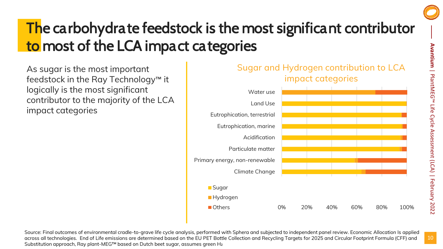### *The carbohydrate feedstock is the most significant contributor to most of the LCA impact categories*

As sugar is the most important feedstock in the Ray Technology<sup>™</sup> it logically is the most significant contributor to the majority of the LCA impact categories

#### 0% 20% 40% 60% 80% 100% Climate Change Primary energy, non-renewable Particulate matter Acidification Eutrophication, marine Eutrophication, terrestrial Land Use Water use **impact categories** ■ Sugar **Hydrogen n**Others

**Sugar and Hydrogen contribution to LCA**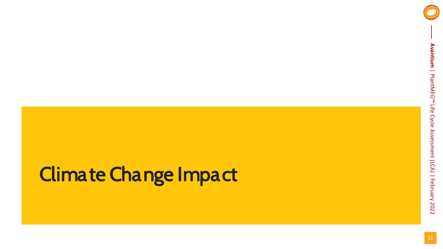# *Climate Change Impact*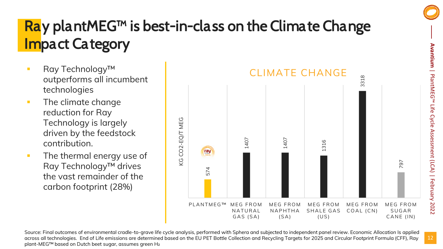### *Ray plantMEG™ is best-in-class on the Climate Change Impact Category*

- Ray Technology<sup>™</sup> outperforms all incumbent technologies
- **•** The climate change reduction for Ray Technology is largely driven by the feedstock contribution.
- **•** The thermal energy use of Ray Technology™ drives the vast remainder of the carbon footprint (28%)

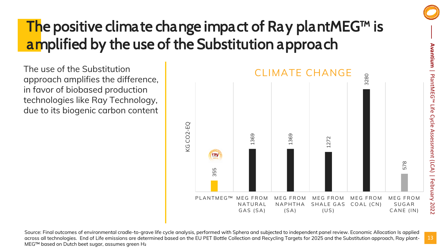#### *The positive climate change impact of Ray plantMEG™ is amplified by the use of the Substitution approach*

The use of the Substitution approach amplifies the difference, in favor of biobased production technologies like Ray Technology, due to its biogenic carbon content

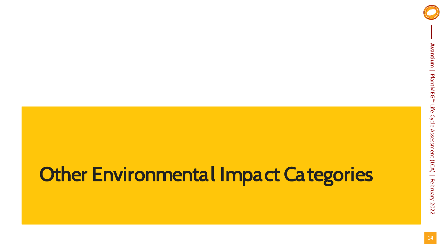# *Other Environmental Impact Categories*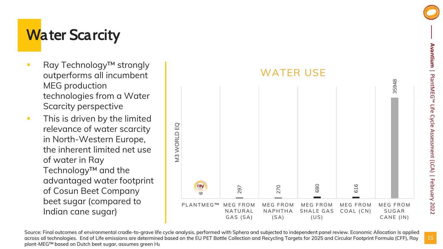#### *Water Scarcity*

- Ray Technology™ strongly outperforms all incumbent MEG production technologies from a Water Scarcity perspective
- **•** This is driven by the limited relevance of water scarcity in North-Western Europe, the inherent limited net use of water in Ray Technology™ and the advantaged water footprint of Cosun Beet Company beet sugar (compared to Indian cane sugar)

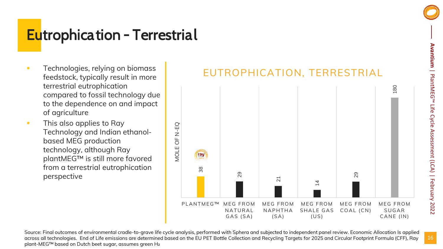### *Eutrophication - Terrestrial*

- Technologies, relying on biomass feedstock, typically result in more terrestrial eutrophication compared to fossil technology due to the dependence on and impact of agriculture
- **•** This also applies to Ray Technology and Indian ethanolbased MEG production technology, although Ray plantMEG™ is still more favored from a terrestrial eutrophication perspective

#### **EUTROPHICATION, TERRESTRIAL**

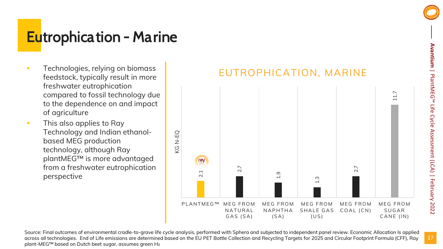#### *Eutrophication - Marine*

- Technologies, relying on biomass feedstock, typically result in more freshwater eutrophication compared to fossil technology due to the dependence on and impact of agriculture
- **•** This also applies to Ray Technology and Indian ethanolbased MEG production technology, although Ray plantMEG™ is more advantaged from a freshwater eutrophication perspective

#### **EUTROPHICATION, MARINE**

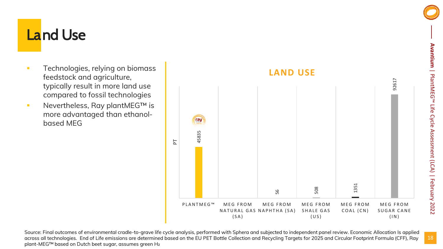*Land Use*

- **EXEC** Technologies, relying on biomass feedstock and agriculture, typically result in more land use compared to fossil technologies
- Nevertheless, Ray plantMEG<sup>™</sup> is more advantaged than ethanolbased MEG

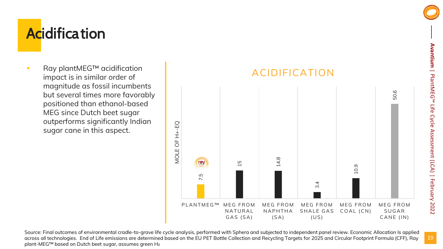

Ray plantMEG™ acidification impact is in similar order of magnitude as fossil incumbents but several times more favorably positioned than ethanol-based MEG since Dutch beet sugar outperforms significantly Indian sugar cane in this aspect.

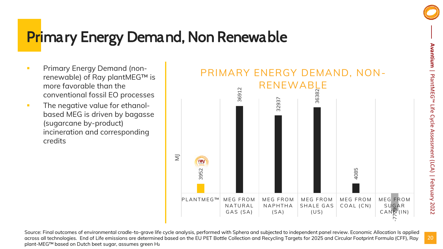#### *Primary Energy Demand, Non Renewable*

- **Primary Energy Demand (non**renewable) of Ray plantMEG™ is more favorable than the conventional fossil EO processes
- **•** The negative value for ethanolbased MEG is driven by bagasse (sugarcane by-product) incineration and corresponding credits



Source: Final outcomes of environmental cradle-to-grave life cycle analysis, performed with Sphera and subjected to independent panel review. Economic Allocation Is applied across all technologies. End of Life emissions are determined based on the EU PET Bottle Collection and Recycling Targets for 2025 and Circular Footprint Formula (CFF), Ray plant-MEG™ based on Dutch beet sugar, assumes green H<sub>2</sub>

20